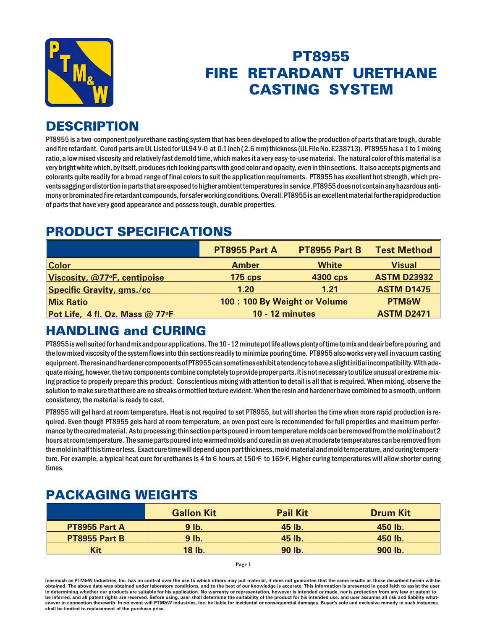

# PT8955 **FIRE RETARDANT URETHANE CASTING SYSTEM**

## **DESCRIPTION**

PT8955 is a two-component polyurethane casting system that has been developed to allow the production of parts that are tough, durable and fire retardant. Cured parts are UL Listed for UL94 V-0 at 0.1 inch (2.6 mm) thickness (UL File No. E238713). PT8955 has a 1 to 1 mixing ratio, a low mixed viscosity and relatively fast demold time, which makes it a very easy-to-use material. The natural color of this material is a very bright white which, by itself, produces rich looking parts with good color and opacity, even in thin sections. It also accepts pigments and colorants quite readily for a broad range of final colors to suit the application requirements. PT8955 has excellent hot strength, which prevents sagging or distortion in parts that are exposed to higher ambient temperatures in service. PT8955 does not contain any hazardous antimony or brominated fire retardant compounds, for safer working conditions. Overall, PT8955 is an excellent material for the rapid production of parts that have very good appearance and possess tough, durable properties.

# PRODUCT SPECIFICATIONS

|                                         | PT8955 Part A                | PT8955 Part B | <b>Test Method</b> |
|-----------------------------------------|------------------------------|---------------|--------------------|
| <b>Color</b>                            | <b>Amber</b>                 | <b>White</b>  | <b>Visual</b>      |
| Viscosity, @77°F, centipoise            | $175$ cps                    | 4300 cps      | <b>ASTM D23932</b> |
| <b>Specific Gravity, gms./cc</b>        | 1.20                         | 1.21          | <b>ASTM D1475</b>  |
| <b>Mix Ratio</b>                        | 100: 100 By Weight or Volume |               | <b>PTM&amp;W</b>   |
| Pot Life, 4 fl. Oz. Mass @ 77 $\circ$ F | <b>10 - 12 minutes</b>       |               | <b>ASTM D2471</b>  |

# **HANDLING and CURING**

PT8955 is well suited for hand mix and pour applications. The 10 - 12 minute pot life allows plenty of time to mix and deair before pouring, and the low mixed viscosity of the system flows into thin sections readily to minimize pouring time. PT8955 also works very well in vacuum casting equipment. The resin and hardener components of PT8955 can sometimes exhibit a tendency to have a slight initial incompatibility. With adequate mixing, however, the two components combine completely to provide proper parts. It is not necessary to utilize unusual or extreme mixing practice to properly prepare this product. Conscientious mixing with attention to detail is all that is required. When mixing, observe the solution to make sure that there are no streaks or mottled texture evident. When the resin and hardener have combined to a smooth, uniform consistency, the material is ready to cast.

PT8955 will gel hard at room temperature. Heat is not required to set PT8955, but will shorten the time when more rapid production is required. Even though PT8955 gels hard at room temperature, an oven post cure is recommended for full properties and maximum performance by the cured material. As to processing; thin section parts poured in room temperature molds can be removed from the mold in about 2 hours at room temperature. The same parts poured into warmed molds and cured in an oven at moderate temperatures can be removed from the mold in half this time or less. Exact cure time will depend upon part thickness, mold material and mold temperature, and curing temperature. For example, a typical heat cure for urethanes is 4 to 6 hours at 150°F to 165°F. Higher curing temperatures will allow shorter curing times.

#### **PACKAGING WEIGHTS**

|               | <b>Gallon Kit</b> | <b>Pail Kit</b> | <b>Drum Kit</b> |
|---------------|-------------------|-----------------|-----------------|
| PT8955 Part A | 9 lb.             | 45 lb.          | 450 lb.         |
| PT8955 Part B | 9 lb.             | 45 lb.          | 450 lb.         |
| <b>Kit</b>    | <b>18 lb.</b>     | 90 lb.          | 900 lb.         |

**Page 1**

Inasmuch as PTM&W Industries, Inc. has no control over the use to which others may put material, it does not guarantee that the same results as those described herein will be obtained. The above data was obtained under laboratory conditions, and to the best of our knowledge is accurate. This information is presented in good faith to assist the user in determining whether our products are suitable for his application. No warranty or representation, however is intended or made, nor is protection from any law be inferred, and all patent rights are reserved. Before using, user shall determine the suitability of the product for his intended use, and user assumes all risk and liability whatsoever in connection therewith. In no event will PTM&W Industries, Inc. be liable for incidental or consequential damages. Buyer's sole and exclusive remedy in such instances shall be limited to replacement of the purchase price.